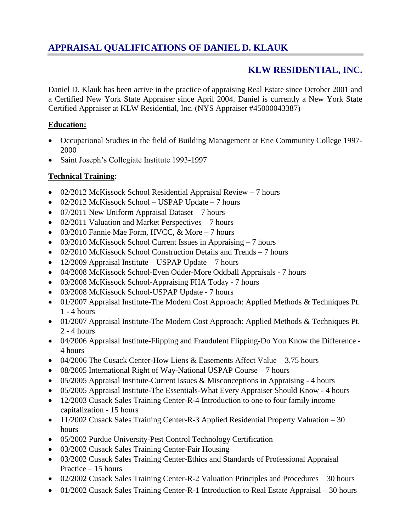# **KLW RESIDENTIAL, INC.**

Daniel D. Klauk has been active in the practice of appraising Real Estate since October 2001 and a Certified New York State Appraiser since April 2004. Daniel is currently a New York State Certified Appraiser at KLW Residential, Inc. (NYS Appraiser #45000043387)

#### **Education:**

- Occupational Studies in the field of Building Management at Erie Community College 1997- 2000
- Saint Joseph's Collegiate Institute 1993-1997

### **Technical Training:**

- 02/2012 McKissock School Residential Appraisal Review 7 hours
- 02/2012 McKissock School USPAP Update 7 hours
- $\bullet$  07/2011 New Uniform Appraisal Dataset 7 hours
- $\bullet$  02/2011 Valuation and Market Perspectives 7 hours
- $\bullet$  03/2010 Fannie Mae Form, HVCC, & More 7 hours
- 03/2010 McKissock School Current Issues in Appraising 7 hours
- 02/2010 McKissock School Construction Details and Trends 7 hours
- $\bullet$  12/2009 Appraisal Institute USPAP Update 7 hours
- 04/2008 McKissock School-Even Odder-More Oddball Appraisals 7 hours
- 03/2008 McKissock School-Appraising FHA Today 7 hours
- 03/2008 McKissock School-USPAP Update 7 hours
- 01/2007 Appraisal Institute-The Modern Cost Approach: Applied Methods & Techniques Pt. 1 - 4 hours
- 01/2007 Appraisal Institute-The Modern Cost Approach: Applied Methods & Techniques Pt. 2 - 4 hours
- 04/2006 Appraisal Institute-Flipping and Fraudulent Flipping-Do You Know the Difference 4 hours
- 04/2006 The Cusack Center-How Liens & Easements Affect Value 3.75 hours
- 08/2005 International Right of Way-National USPAP Course 7 hours
- 05/2005 Appraisal Institute-Current Issues & Misconceptions in Appraising 4 hours
- 05/2005 Appraisal Institute-The Essentials-What Every Appraiser Should Know 4 hours
- 12/2003 Cusack Sales Training Center-R-4 Introduction to one to four family income capitalization - 15 hours
- 11/2002 Cusack Sales Training Center-R-3 Applied Residential Property Valuation 30 hours
- 05/2002 Purdue University-Pest Control Technology Certification
- 03/2002 Cusack Sales Training Center-Fair Housing
- 03/2002 Cusack Sales Training Center-Ethics and Standards of Professional Appraisal Practice – 15 hours
- 02/2002 Cusack Sales Training Center-R-2 Valuation Principles and Procedures 30 hours
- 01/2002 Cusack Sales Training Center-R-1 Introduction to Real Estate Appraisal 30 hours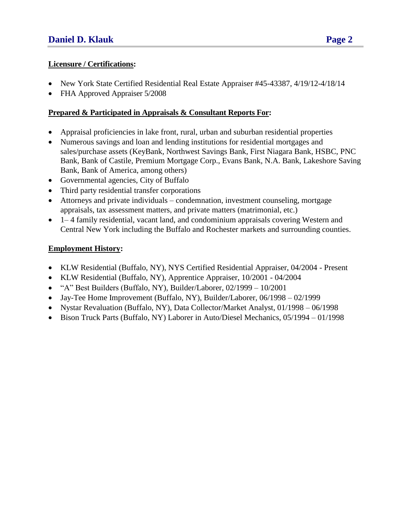- New York State Certified Residential Real Estate Appraiser #45-43387, 4/19/12-4/18/14
- FHA Approved Appraiser 5/2008

### **Prepared & Participated in Appraisals & Consultant Reports For:**

- Appraisal proficiencies in lake front, rural, urban and suburban residential properties
- Numerous savings and loan and lending institutions for residential mortgages and sales/purchase assets (KeyBank, Northwest Savings Bank, First Niagara Bank, HSBC, PNC Bank, Bank of Castile, Premium Mortgage Corp., Evans Bank, N.A. Bank, Lakeshore Saving Bank, Bank of America, among others)
- Governmental agencies, City of Buffalo
- Third party residential transfer corporations
- Attorneys and private individuals condemnation, investment counseling, mortgage appraisals, tax assessment matters, and private matters (matrimonial, etc.)
- 1– 4 family residential, vacant land, and condominium appraisals covering Western and Central New York including the Buffalo and Rochester markets and surrounding counties.

## **Employment History:**

- KLW Residential (Buffalo, NY), NYS Certified Residential Appraiser, 04/2004 Present
- KLW Residential (Buffalo, NY), Apprentice Appraiser, 10/2001 04/2004
- $\bullet$  "A" Best Builders (Buffalo, NY), Builder/Laborer, 02/1999 10/2001
- Jay-Tee Home Improvement (Buffalo, NY), Builder/Laborer, 06/1998 02/1999
- Nystar Revaluation (Buffalo, NY), Data Collector/Market Analyst, 01/1998 06/1998
- Bison Truck Parts (Buffalo, NY) Laborer in Auto/Diesel Mechanics, 05/1994 01/1998